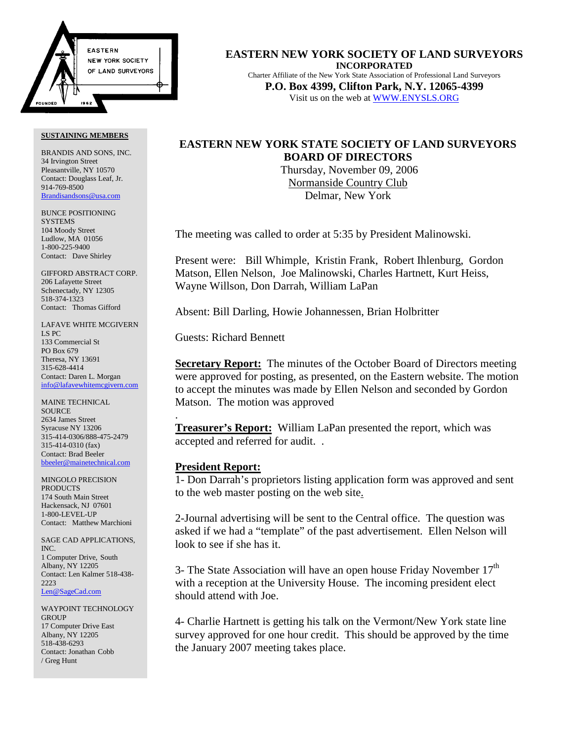

BRANDIS AND SONS, INC. 34 Irvington Street Pleasantville, NY 10570 Contact: Douglass Leaf, Jr. 914-769-8500 Brandisandsons@usa.com

BUNCE POSITIONING **SYSTEMS** 104 Moody Street Ludlow, MA 01056 1-800-225-9400 Contact: Dave Shirley

GIFFORD ABSTRACT CORP. 206 Lafayette Street Schenectady, NY 12305 518-374-1323 Contact: Thomas Gifford

LAFAVE WHITE MCGIVERN LS PC 133 Commercial St PO Box 679 Theresa, NY 13691 315-628-4414 Contact: Daren L. Morgan info@lafavewhitemcgivern.com

MAINE TECHNICAL **SOURCE** 2634 James Street Syracuse NY 13206 315-414-0306/888-475-2479 315-414-0310 (fax) Contact: Brad Beeler bbeeler@mainetechnical.com

MINGOLO PRECISION PRODUCTS 174 South Main Street Hackensack, NJ 07601 1-800-LEVEL-UP Contact: Matthew Marchioni

SAGE CAD APPLICATIONS, INC. 1 Computer Drive, South Albany, NY 12205 Contact: Len Kalmer 518-438- 2223 Len@SageCad.com

WAYPOINT TECHNOLOGY **GROUP** 17 Computer Drive East Albany, NY 12205 518-438-6293 Contact: Jonathan Cobb / Greg Hunt

**EASTERN NEW YORK SOCIETY OF LAND SURVEYORS INCORPORATED** Charter Affiliate of the New York State Association of Professional Land Surveyors **P.O. Box 4399, Clifton Park, N.Y. 12065-4399** Visit us on the web at WWW.ENYSLS.ORG

# **EASTERN NEW YORK STATE SOCIETY OF LAND SURVEYORS BOARD OF DIRECTORS**

 Thursday, November 09, 2006 Normanside Country Club Delmar, New York

The meeting was called to order at 5:35 by President Malinowski.

Present were: Bill Whimple, Kristin Frank, Robert Ihlenburg, Gordon Matson, Ellen Nelson, Joe Malinowski, Charles Hartnett, Kurt Heiss, Wayne Willson, Don Darrah, William LaPan

Absent: Bill Darling, Howie Johannessen, Brian Holbritter

Guests: Richard Bennett

**Secretary Report:** The minutes of the October Board of Directors meeting were approved for posting, as presented, on the Eastern website. The motion to accept the minutes was made by Ellen Nelson and seconded by Gordon Matson. The motion was approved

**Treasurer's Report:** William LaPan presented the report, which was accepted and referred for audit. .

## **President Report:**

.

1- Don Darrah's proprietors listing application form was approved and sent to the web master posting on the web site.

2-Journal advertising will be sent to the Central office. The question was asked if we had a "template" of the past advertisement. Ellen Nelson will look to see if she has it.

3- The State Association will have an open house Friday November  $17<sup>th</sup>$ with a reception at the University House. The incoming president elect should attend with Joe.

4- Charlie Hartnett is getting his talk on the Vermont/New York state line survey approved for one hour credit. This should be approved by the time the January 2007 meeting takes place.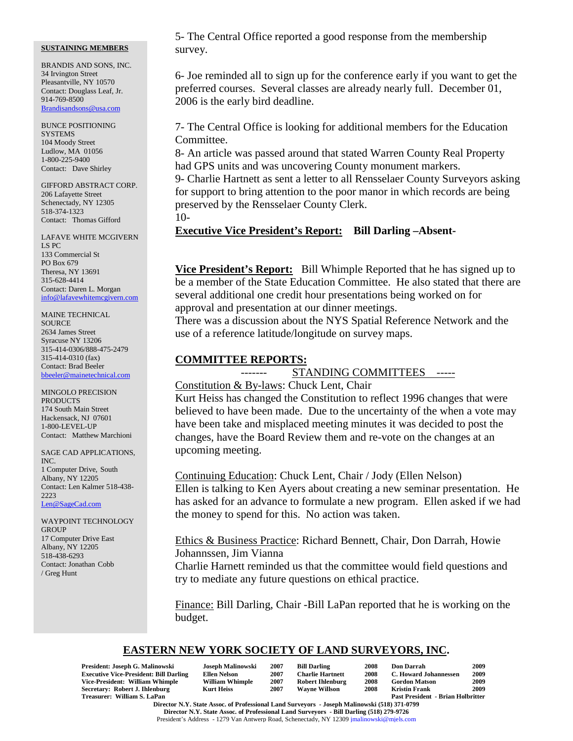BRANDIS AND SONS, INC. 34 Irvington Street Pleasantville, NY 10570 Contact: Douglass Leaf, Jr. 914-769-8500 Brandisandsons@usa.com

BUNCE POSITIONING **SYSTEMS** 104 Moody Street Ludlow, MA 01056 1-800-225-9400 Contact: Dave Shirley

GIFFORD ABSTRACT CORP. 206 Lafayette Street Schenectady, NY 12305 518-374-1323 Contact: Thomas Gifford

LAFAVE WHITE MCGIVERN LS PC 133 Commercial St PO Box 679 Theresa, NY 13691 315-628-4414 Contact: Daren L. Morgan info@lafavewhitemcgivern.com

MAINE TECHNICAL **SOURCE** 2634 James Street Syracuse NY 13206 315-414-0306/888-475-2479 315-414-0310 (fax) Contact: Brad Beeler bbeeler@mainetechnical.com

MINGOLO PRECISION PRODUCTS 174 South Main Street Hackensack, NJ 07601 1-800-LEVEL-UP Contact: Matthew Marchioni

SAGE CAD APPLICATIONS, INC. 1 Computer Drive, South Albany, NY 12205 Contact: Len Kalmer 518-438- 2223 Len@SageCad.com

WAYPOINT TECHNOLOGY **GROUP** 17 Computer Drive East Albany, NY 12205 518-438-6293 Contact: Jonathan Cobb / Greg Hunt

5- The Central Office reported a good response from the membership survey.

6- Joe reminded all to sign up for the conference early if you want to get the preferred courses. Several classes are already nearly full. December 01, 2006 is the early bird deadline.

7- The Central Office is looking for additional members for the Education Committee.

8- An article was passed around that stated Warren County Real Property had GPS units and was uncovering County monument markers.

9- Charlie Hartnett as sent a letter to all Rensselaer County Surveyors asking for support to bring attention to the poor manor in which records are being preserved by the Rensselaer County Clerk.

10-

## **Executive Vice President's Report: Bill Darling –Absent-**

**Vice President's Report:** Bill Whimple Reported that he has signed up to be a member of the State Education Committee. He also stated that there are several additional one credit hour presentations being worked on for approval and presentation at our dinner meetings.

There was a discussion about the NYS Spatial Reference Network and the use of a reference latitude/longitude on survey maps.

## **COMMITTEE REPORTS:**

------- STANDING COMMITTEES -----

Constitution & By-laws: Chuck Lent, Chair

Kurt Heiss has changed the Constitution to reflect 1996 changes that were believed to have been made. Due to the uncertainty of the when a vote may have been take and misplaced meeting minutes it was decided to post the changes, have the Board Review them and re-vote on the changes at an upcoming meeting.

Continuing Education: Chuck Lent, Chair / Jody (Ellen Nelson)

Ellen is talking to Ken Ayers about creating a new seminar presentation. He has asked for an advance to formulate a new program. Ellen asked if we had the money to spend for this. No action was taken.

Ethics & Business Practice: Richard Bennett, Chair, Don Darrah, Howie Johannssen, Jim Vianna

Charlie Harnett reminded us that the committee would field questions and try to mediate any future questions on ethical practice.

Finance: Bill Darling, Chair -Bill LaPan reported that he is working on the budget.

# **EASTERN NEW YORK SOCIETY OF LAND SURVEYORS, INC.**

| President: Joseph G. Malinowski               | Joseph Malinowski      | 2007 | <b>Bill Darling</b>     | 2008 | <b>Don Darrah</b>                        | 2009 |
|-----------------------------------------------|------------------------|------|-------------------------|------|------------------------------------------|------|
| <b>Executive Vice-President: Bill Darling</b> | Ellen Nelson           | 2007 | <b>Charlie Hartnett</b> | 2008 | C. Howard Johannessen                    | 2009 |
| Vice-President: William Whimple               | <b>William Whimple</b> | 2007 | <b>Robert Ihlenburg</b> | 2008 | <b>Gordon Matson</b>                     | 2009 |
| Secretary: Robert J. Ihlenburg                | <b>Kurt Heiss</b>      | 2007 | <b>Wavne Willson</b>    | 2008 | <b>Kristin Frank</b>                     | 2009 |
| Treasurer: William S. LaPan                   |                        |      |                         |      | <b>Past President - Brian Holbritter</b> |      |
| ______________                                | .                      |      |                         |      |                                          |      |

**Director N.Y. State Assoc. of Professional Land Surveyors - Joseph Malinowski (518) 371-0799 Director N.Y. State Assoc. of Professional Land Surveyors - Bill Darling (518) 279-9726** President's Address - 1279 Van Antwerp Road, Schenectady, NY 12309 jmalinowski@mjels.com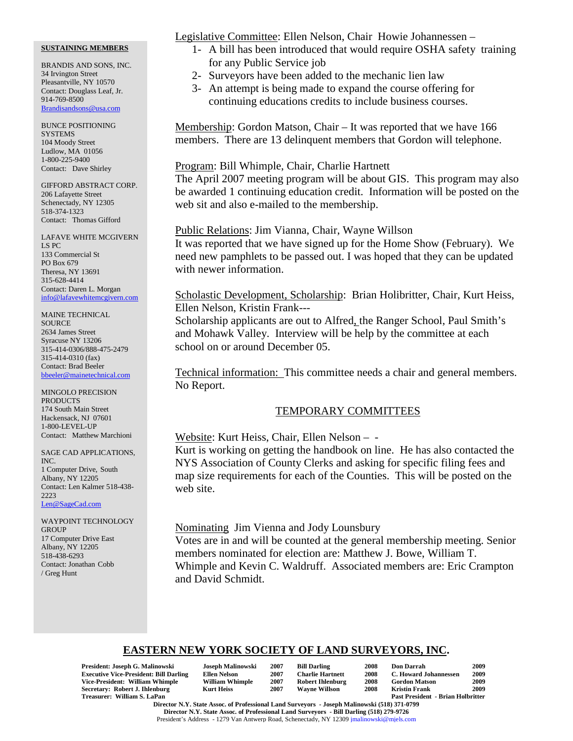BRANDIS AND SONS, INC. 34 Irvington Street Pleasantville, NY 10570 Contact: Douglass Leaf, Jr. 914-769-8500 Brandisandsons@usa.com

BUNCE POSITIONING **SYSTEMS** 104 Moody Street Ludlow, MA 01056 1-800-225-9400 Contact: Dave Shirley

GIFFORD ABSTRACT CORP. 206 Lafayette Street Schenectady, NY 12305 518-374-1323 Contact: Thomas Gifford

LAFAVE WHITE MCGIVERN LS PC 133 Commercial St PO Box 679 Theresa, NY 13691 315-628-4414 Contact: Daren L. Morgan info@lafavewhitemcgivern.com

MAINE TECHNICAL **SOURCE** 2634 James Street Syracuse NY 13206 315-414-0306/888-475-2479 315-414-0310 (fax) Contact: Brad Beeler bbeeler@mainetechnical.com

MINGOLO PRECISION **PRODUCTS** 174 South Main Street Hackensack, NJ 07601 1-800-LEVEL-UP Contact: Matthew Marchioni

SAGE CAD APPLICATIONS, INC. 1 Computer Drive, South Albany, NY 12205 Contact: Len Kalmer 518-438- 2223 Len@SageCad.com

WAYPOINT TECHNOLOGY **GROUP** 17 Computer Drive East Albany, NY 12205 518-438-6293 Contact: Jonathan Cobb / Greg Hunt

Legislative Committee: Ellen Nelson, Chair Howie Johannessen –

- 1- A bill has been introduced that would require OSHA safety training for any Public Service job
- 2- Surveyors have been added to the mechanic lien law
- 3- An attempt is being made to expand the course offering for continuing educations credits to include business courses.

Membership: Gordon Matson, Chair – It was reported that we have 166 members. There are 13 delinquent members that Gordon will telephone.

### Program: Bill Whimple, Chair, Charlie Hartnett

The April 2007 meeting program will be about GIS. This program may also be awarded 1 continuing education credit. Information will be posted on the web sit and also e-mailed to the membership.

Public Relations: Jim Vianna, Chair, Wayne Willson It was reported that we have signed up for the Home Show (February). We need new pamphlets to be passed out. I was hoped that they can be updated with newer information.

Scholastic Development, Scholarship: Brian Holibritter, Chair, Kurt Heiss, Ellen Nelson, Kristin Frank---

Scholarship applicants are out to Alfred, the Ranger School, Paul Smith's and Mohawk Valley. Interview will be help by the committee at each school on or around December 05.

Technical information: This committee needs a chair and general members. No Report.

## TEMPORARY COMMITTEES

Website: Kurt Heiss, Chair, Ellen Nelson – - Kurt is working on getting the handbook on line. He has also contacted the NYS Association of County Clerks and asking for specific filing fees and map size requirements for each of the Counties. This will be posted on the web site.

Nominating Jim Vienna and Jody Lounsbury Votes are in and will be counted at the general membership meeting. Senior members nominated for election are: Matthew J. Bowe, William T. Whimple and Kevin C. Waldruff. Associated members are: Eric Crampton and David Schmidt.

# **EASTERN NEW YORK SOCIETY OF LAND SURVEYORS, INC.**

| President: Joseph G. Malinowski               | Joseph Malinowski      | 2007 | <b>Bill Darling</b>     | 2008 | <b>Don Darrah</b>                        | 2009 |
|-----------------------------------------------|------------------------|------|-------------------------|------|------------------------------------------|------|
| <b>Executive Vice-President: Bill Darling</b> | Ellen Nelson           | 2007 | <b>Charlie Hartnett</b> | 2008 | C. Howard Johannessen                    | 2009 |
| Vice-President: William Whimple               | <b>William Whimple</b> | 2007 | <b>Robert Ihlenburg</b> | 2008 | <b>Gordon Matson</b>                     | 2009 |
| Secretary: Robert J. Ihlenburg                | <b>Kurt Heiss</b>      | 2007 | <b>Wavne Willson</b>    | 2008 | <b>Kristin Frank</b>                     | 2009 |
| Treasurer: William S. LaPan                   |                        |      |                         |      | <b>Past President - Brian Holbritter</b> |      |

| <b>Joseph Malinowsl</b> |
|-------------------------|
| <b>Ellen Nelson</b>     |
| <b>William Whimple</b>  |
| <b>Kurt Heiss</b>       |

| rtnett |  |
|--------|--|
| nburg  |  |
| lson   |  |
|        |  |
|        |  |

| n Darrah                         | 2009 |
|----------------------------------|------|
| <b>Howard Johannessen</b>        | 2009 |
| rdon Matson                      | 2009 |
| istin Frank                      | 2009 |
| st President  - Brian Holbritter |      |

**Director N.Y. State Assoc. of Professional Land Surveyors - Joseph Malinowski (518) 371-0799 Director N.Y. State Assoc. of Professional Land Surveyors - Bill Darling (518) 279-9726** President's Address - 1279 Van Antwerp Road, Schenectady, NY 12309 jmalinowski@mjels.com